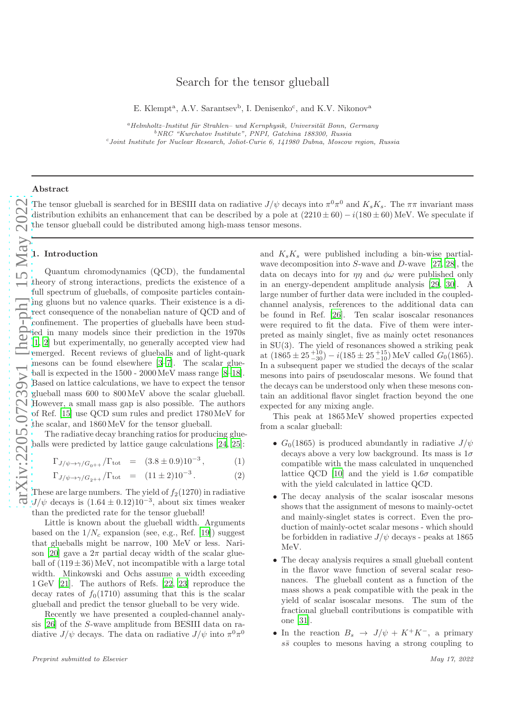# Search for the tensor glueball

E. Klempt<sup>a</sup>, A.V. Sarantsev<sup>b</sup>, I. Denisenko<sup>c</sup>, and K.V. Nikonov<sup>a</sup>

 $a$ Helmholtz–Institut für Strahlen– und Kernphysik, Universität Bonn, Germany <sup>b</sup>NRC "Kurchatov Institute", PNPI, Gatchina 188300, Russia <sup>c</sup>Joint Institute for Nuclear Research, Joliot-Curie 6, 141980 Dubna, Moscow region, Russia

#### Abstract

The tensor glueball is searched for in BESIII data on radiative  $J/\psi$  decays into  $\pi^0\pi^0$  and  $K_sK_s$ . The  $\pi\pi$  invariant mass distribution exhibits an enhancement that can be described by a pole at  $(2210 \pm 60) - i(180 \pm 60)$  MeV. We speculate if the tensor glueball could be distributed among high-mass tensor mesons.

#### 1. Introduction

Quantum chromodynamics (QCD), the fundamental theory of strong interactions, predicts the existence of a full spectrum of glueballs, of composite particles containing gluons but no valence quarks. Their existence is a direct consequence of the nonabelian nature of QCD and of confinement. The properties of glueballs have been studied in many models since their prediction in the 1970s [\[1](#page-5-0), [2\]](#page-6-0) but experimentally, no generally accepted view had emerged. Recent reviews of glueballs and of light-quark mesons can be found elsewhere [\[3](#page-6-1)[–7](#page-6-2)]. The scalar glueball is expected in the 1500 - 2000MeV mass range [\[8](#page-6-3)[–18](#page-6-4)]. Based on lattice calculations, we have to expect the tensor glueball mass 600 to 800MeV above the scalar glueball. However, a small mass gap is also possible. The authors of Ref. [\[15\]](#page-6-5) use QCD sum rules and predict 1780MeV for the scalar, and 1860MeV for the tensor glueball.

The radiative decay branching ratios for producing glueballs were predicted by lattice gauge calculations [\[24](#page-6-6), [25](#page-6-7)]:

$$
\Gamma_{J/\psi \to \gamma/G_{0^{++}}}/\Gamma_{\rm tot} = (3.8 \pm 0.9) 10^{-3}, \tag{1}
$$

$$
\Gamma_{J/\psi \to \gamma/G_{2++}}/\Gamma_{\text{tot}} = (11 \pm 2)10^{-3}.
$$
 (2)

These are large numbers. The yield of  $f_2(1270)$  in radiative  $J/\psi$  decays is  $(1.64 \pm 0.12)10^{-3}$ , about six times weaker than the predicted rate for the tensor glueball!

Little is known about the glueball width. Arguments based on the  $1/N_c$  expansion (see, e.g., Ref. [\[19\]](#page-6-8)) suggest that glueballs might be narrow, 100 MeV or less. Nari-son [\[20\]](#page-6-9) gave a  $2\pi$  partial decay width of the scalar glueball of  $(119\pm36)$  MeV, not incompatible with a large total width. Minkowski and Ochs assume a width exceeding 1 GeV [\[21\]](#page-6-10). The authors of Refs. [\[22,](#page-6-11) [23\]](#page-6-12) reproduce the decay rates of  $f_0(1710)$  assuming that this is the scalar glueball and predict the tensor glueball to be very wide.

Recently we have presented a coupled-channel analysis [\[26\]](#page-6-13) of the S-wave amplitude from BESIII data on radiative  $J/\psi$  decays. The data on radiative  $J/\psi$  into  $\pi^0 \pi^0$ 

and  $K_sK_s$  were published including a bin-wise partialwave decomposition into  $S$ -wave and  $D$ -wave [\[27,](#page-6-14) [28](#page-6-15)], the data on decays into for  $\eta\eta$  and  $\phi\omega$  were published only in an energy-dependent amplitude analysis [\[29,](#page-6-16) [30](#page-6-17)]. A large number of further data were included in the coupledchannel analysis, references to the additional data can be found in Ref. [\[26\]](#page-6-13). Ten scalar isoscalar resonances were required to fit the data. Five of them were interpreted as mainly singlet, five as mainly octet resonances in SU(3). The yield of resonances showed a striking peak at  $(1865 \pm 25^{+10}_{-30}) - i(185 \pm 25^{+15}_{-10}) \text{ MeV}$  called  $G_0(1865)$ . In a subsequent paper we studied the decays of the scalar mesons into pairs of pseudoscalar mesons. We found that the decays can be understood only when these mesons contain an additional flavor singlet fraction beyond the one expected for any mixing angle.

This peak at 1865MeV showed properties expected from a scalar glueball:

- $G_0(1865)$  is produced abundantly in radiative  $J/\psi$ decays above a very low background. Its mass is  $1\sigma$ compatible with the mass calculated in unquenched lattice QCD [\[10](#page-6-18)] and the yield is  $1.6\sigma$  compatible with the yield calculated in lattice QCD.
- The decay analysis of the scalar isoscalar mesons shows that the assignment of mesons to mainly-octet and mainly-singlet states is correct. Even the production of mainly-octet scalar mesons - which should be forbidden in radiative  $J/\psi$  decays - peaks at 1865 MeV.
- The decay analysis requires a small glueball content in the flavor wave function of several scalar resonances. The glueball content as a function of the mass shows a peak compatible with the peak in the yield of scalar isoscalar mesons. The sum of the fractional glueball contributions is compatible with one [\[31\]](#page-6-19).
- In the reaction  $B_s \to J/\psi + K^+K^-$ , a primary  $s\bar{s}$  couples to mesons having a strong coupling to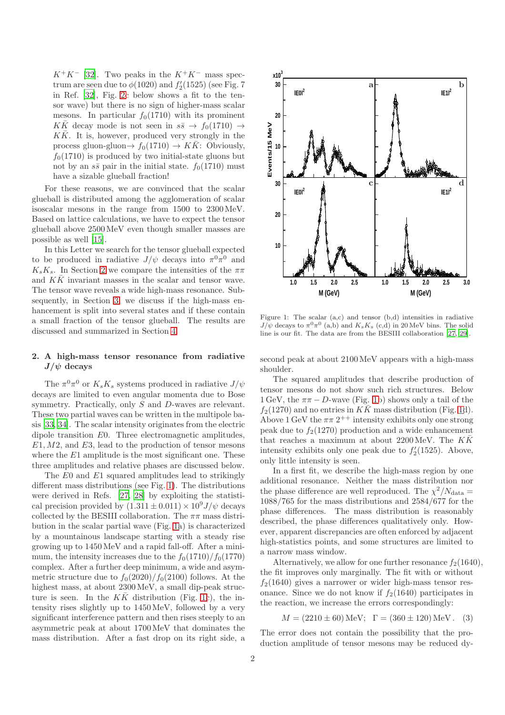$K^+K^-$  [\[32](#page-6-20)]. Two peaks in the  $K^+K^-$  mass spectrum are seen due to  $\phi(1020)$  and  $f'_2(1525)$  (see Fig. 7) in Ref. [\[32\]](#page-6-20), Fig. [2c](#page-3-0) below shows a fit to the tensor wave) but there is no sign of higher-mass scalar mesons. In particular  $f_0(1710)$  with its prominent  $K\bar{K}$  decay mode is not seen in  $s\bar{s} \rightarrow f_0(1710) \rightarrow$  $K\bar{K}$ . It is, however, produced very strongly in the process gluon-gluon $\rightarrow f_0(1710) \rightarrow K\overline{K}$ : Obviously,  $f<sub>0</sub>(1710)$  is produced by two initial-state gluons but not by an  $s\bar{s}$  pair in the initial state.  $f_0(1710)$  must have a sizable glueball fraction!

For these reasons, we are convinced that the scalar glueball is distributed among the agglomeration of scalar isoscalar mesons in the range from 1500 to 2300MeV. Based on lattice calculations, we have to expect the tensor glueball above 2500MeV even though smaller masses are possible as well [\[15](#page-6-5)].

In this Letter we search for the tensor glueball expected to be produced in radiative  $J/\psi$  decays into  $\pi^0 \pi^0$  and  $K_sK_s$ . In Section [2](#page-1-0) we compare the intensities of the  $\pi\pi$ and  $KK$  invariant masses in the scalar and tensor wave. The tensor wave reveals a wide high-mass resonance. Subsequently, in Section [3,](#page-2-0) we discuss if the high-mass enhancement is split into several states and if these contain a small fraction of the tensor glueball. The results are discussed and summarized in Section [4.](#page-5-1)

## <span id="page-1-0"></span>2. A high-mass tensor resonance from radiative  $J/\psi$  decays

The  $\pi^0 \pi^0$  or  $K_s K_s$  systems produced in radiative  $J/\psi$ decays are limited to even angular momenta due to Bose symmetry. Practically, only S and D-waves are relevant. These two partial waves can be written in the multipole basis [\[33](#page-6-21), [34](#page-6-22)]. The scalar intensity originates from the electric dipole transition E0. Three electromagnetic amplitudes,  $E1, M2$ , and  $E3$ , lead to the production of tensor mesons where the  $E1$  amplitude is the most significant one. These three amplitudes and relative phases are discussed below.

The E0 and E1 squared amplitudes lead to strikingly different mass distributions (see Fig. [1\)](#page-1-1). The distributions were derived in Refs. [\[27](#page-6-14), [28](#page-6-15)] by exploiting the statistical precision provided by  $(1.311 \pm 0.011) \times 10^9 J/\psi$  decays collected by the BESIII collaboration. The  $\pi\pi$  mass distribution in the scalar partial wave (Fig. [1a](#page-1-1)) is characterized by a mountainous landscape starting with a steady rise growing up to 1450MeV and a rapid fall-off. After a minimum, the intensity increases due to the  $f_0(1710)/f_0(1770)$ complex. After a further deep minimum, a wide and asymmetric structure due to  $f_0(2020)/f_0(2100)$  follows. At the highest mass, at about 2300MeV, a small dip-peak structure is seen. In the  $K\bar{K}$  distribution (Fig. [1c](#page-1-1)), the intensity rises slightly up to 1450MeV, followed by a very significant interference pattern and then rises steeply to an asymmetric peak at about 1700MeV that dominates the mass distribution. After a fast drop on its right side, a

<span id="page-1-1"></span>

Figure 1: The scalar (a,c) and tensor (b,d) intensities in radiative  $J/\psi$  decays to  $\pi^0 \pi^0$  (a,b) and  $K_s K_s$  (c,d) in 20 MeV bins. The solid line is our fit. The data are from the BESIII collaboration [\[27](#page-6-14), [29](#page-6-16)].

second peak at about 2100MeV appears with a high-mass shoulder.

The squared amplitudes that describe production of tensor mesons do not show such rich structures. Below 1 GeV, the  $\pi\pi - D$ -wave (Fig. [1b](#page-1-1)) shows only a tail of the  $f_2(1270)$  and no entries in  $K\overline{K}$  mass distribution (Fig. [1d](#page-1-1)). Above 1 GeV the  $\pi\pi$   $2^{++}$  intensity exhibits only one strong peak due to  $f_2(1270)$  production and a wide enhancement that reaches a maximum at about 2200 MeV. The  $K\bar{K}$ intensity exhibits only one peak due to  $f'_{2}(1525)$ . Above, only little intensity is seen.

In a first fit, we describe the high-mass region by one additional resonance. Neither the mass distribution nor the phase difference are well reproduced. The  $\chi^2/N_{\text{data}} =$ 1088/765 for the mass distributions and 2584/677 for the phase differences. The mass distribution is reasonably described, the phase differences qualitatively only. However, apparent discrepancies are often enforced by adjacent high-statistics points, and some structures are limited to a narrow mass window.

Alternatively, we allow for one further resonance  $f_2(1640)$ , the fit improves only marginally. The fit with or without  $f_2(1640)$  gives a narrower or wider high-mass tensor resonance. Since we do not know if  $f_2(1640)$  participates in the reaction, we increase the errors correspondingly:

$$
M = (2210 \pm 60) \text{ MeV}; \Gamma = (360 \pm 120) \text{ MeV}.
$$
 (3)

The error does not contain the possibility that the production amplitude of tensor mesons may be reduced dy-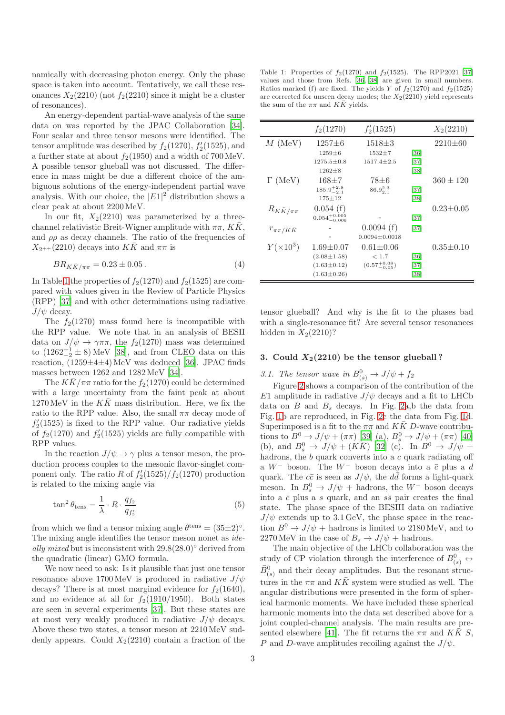namically with decreasing photon energy. Only the phase space is taken into account. Tentatively, we call these resonances  $X_2(2210)$  (not  $f_2(2210)$  since it might be a cluster of resonances).

An energy-dependent partial-wave analysis of the same data on was reported by the JPAC Collaboration [\[34](#page-6-22)]. Four scalar and three tensor mesons were identified. The tensor amplitude was described by  $f_2(1270)$ ,  $f'_2(1525)$ , and a further state at about  $f_2(1950)$  and a width of 700 MeV. A possible tensor glueball was not discussed. The difference in mass might be due a different choice of the ambiguous solutions of the energy-independent partial wave analysis. With our choice, the  $|E1|^2$  distribution shows a clear peak at about 2200MeV.

In our fit,  $X_2(2210)$  was parameterized by a threechannel relativistic Breit-Wigner amplitude with  $\pi \pi$ ,  $K\bar{K}$ , and  $\rho \rho$  as decay channels. The ratio of the frequencies of  $X_{2^{++}}$  (2210) decays into  $K\bar{K}$  and  $\pi\pi$  is

$$
BR_{K\bar{K}/\pi\pi} = 0.23 \pm 0.05 \,. \tag{4}
$$

In Table [1](#page-2-1) the properties of  $f_2(1270)$  and  $f_2(1525)$  are compared with values given in the Review of Particle Physics (RPP) [\[37](#page-6-23)] and with other determinations using radiative  $J/\psi$  decay.

The  $f_2(1270)$  mass found here is incompatible with the RPP value. We note that in an analysis of BESII data on  $J/\psi \rightarrow \gamma \pi \pi$ , the  $f_2(1270)$  mass was determined to  $(1262^{+1}_{-2} \pm 8)$  MeV [\[38](#page-6-24)], and from CLEO data on this reaction,  $(1259 \pm 4 \pm 4)$  MeV was deduced [\[36\]](#page-6-25). JPAC finds masses between 1262 and 1282MeV [\[34](#page-6-22)].

The  $KK/\pi\pi$  ratio for the  $f_2(1270)$  could be determined with a large uncertainty from the faint peak at about  $1270 \,\text{MeV}$  in the  $K\bar{K}$  mass distribution. Here, we fix the ratio to the RPP value. Also, the small  $\pi\pi$  decay mode of  $f'_{2}(1525)$  is fixed to the RPP value. Our radiative yields of  $f_2(1270)$  and  $f_2'(1525)$  yields are fully compatible with RPP values.

In the reaction  $J/\psi \rightarrow \gamma$  plus a tensor meson, the production process couples to the mesonic flavor-singlet component only. The ratio R of  $f_2'(1525)/f_2(1270)$  production is related to the mixing angle via

$$
\tan^2 \theta_{\text{tens}} = \frac{1}{\lambda} \cdot R \cdot \frac{q_{f_2}}{q_{f_2'}} \tag{5}
$$

from which we find a tensor mixing angle  $\theta^{\text{tens}} = (35 \pm 2)^{\circ}$ . The mixing angle identifies the tensor meson nonet as *ideally mixed* but is inconsistent with 29.8(28.0)◦ derived from the quadratic (linear) GMO formula.

We now need to ask: Is it plausible that just one tensor resonance above 1700 MeV is produced in radiative  $J/\psi$ decays? There is at most marginal evidence for  $f_2(1640)$ , and no evidence at all for  $f_2(1910/1950)$ . Both states are seen in several experiments [\[37](#page-6-23)]. But these states are at most very weakly produced in radiative  $J/\psi$  decays. Above these two states, a tensor meson at 2210MeV suddenly appears. Could  $X_2(2210)$  contain a fraction of the

<span id="page-2-1"></span>Table 1: Properties of  $f_2(1270)$  and  $f_2(1525)$ . The RPP2021 [\[37](#page-6-23)] values and those from Refs. [\[36](#page-6-25), [38\]](#page-6-24) are given in small numbers. Ratios marked (f) are fixed. The yields Y of  $f_2(1270)$  and  $f_2(1525)$ are corrected for unseen decay modes; the  $X_2(2210)$  yield represents the sum of the  $\pi\pi$  and  $K\bar{K}$  yields.

|                        | $f_2(1270)$               | $f'_2(1525)$             |                   | $X_2(2210)$     |
|------------------------|---------------------------|--------------------------|-------------------|-----------------|
| $M$ (MeV)              | $1257 \pm 6$              | $1518 + 3$               |                   | $2210\pm 60$    |
|                        | $1259 \pm 6$              | $1532 + 7$               | [36]              |                 |
|                        | $1275.5 \pm 0.8$          | $1517.4 \pm 2.5$         | $[37]$            |                 |
|                        | $1262 \pm 8$              |                          | $\left[38\right]$ |                 |
| $\Gamma$ (MeV)         | $168 + 7$                 | 78±6                     |                   | $360 \pm 120$   |
|                        | $185.9^{+2.8}_{-2.1}$     | $86.9^{2.3}_{2.1}$       | $[37]$            |                 |
|                        | $175 + 12$                |                          | $\left[38\right]$ |                 |
| $R_{K\bar K/\pi\pi}$   | 0.054(f)                  |                          |                   | $0.23 \pm 0.05$ |
|                        | $0.054^{+0.005}_{-0.006}$ |                          | $[37]$            |                 |
| $r_{\pi\pi / K\bar K}$ |                           | 0.0094(f)                | $[37]$            |                 |
|                        |                           | $0.0094 \pm 0.0018$      |                   |                 |
| $Y(\times 10^3)$       | $1.69 \pm 0.07$           | $0.61 \pm 0.06$          |                   | $0.35 \pm 0.10$ |
|                        | $(2.08 \pm 1.58)$         | < 1.7                    | $\left[36\right]$ |                 |
|                        | $(1.63 \pm 0.12)$         | $(0.57^{+0.08}_{-0.05})$ | [37]              |                 |
|                        | $(1.63 \pm 0.26)$         |                          | [38]              |                 |

tensor glueball? And why is the fit to the phases bad with a single-resonance fit? Are several tensor resonances hidden in  $X_2(2210)$ ?

## <span id="page-2-0"></span>3. Could  $X_2(2210)$  be the tensor glueball?

# 3.1. The tensor wave in  $B^0_{(s)} \to J/\psi + f_2$

Figure [2](#page-3-0) shows a comparison of the contribution of the E1 amplitude in radiative  $J/\psi$  decays and a fit to LHCb data on  $B$  and  $B_s$  decays. In Fig. [2a](#page-3-0),b the data from Fig. [1b](#page-1-1) are reproduced, in Fig. [2c](#page-3-0) the data from Fig. [1d](#page-1-1). Superimposed is a fit to the  $\pi\pi$  and  $K\bar{K}$  D-wave contributions to  $B^0 \to J/\psi + (\pi \pi)$  [\[39\]](#page-6-26) (a),  $B^0_s \to J/\psi + (\pi \pi)$  [\[40\]](#page-6-27) (b), and  $B_s^0 \rightarrow J/\psi + (K\bar{K})$  [\[32\]](#page-6-20) (c). In  $B^0 \rightarrow J/\psi +$ hadrons, the b quark converts into a c quark radiating off a  $W^-$  boson. The  $W^-$  boson decays into a  $\bar{c}$  plus a d quark. The  $c\bar{c}$  is seen as  $J/\psi$ , the  $d\bar{d}$  forms a light-quark meson. In  $B_s^0 \to J/\psi$  + hadrons, the W<sup>-</sup> boson decays into a  $\bar{c}$  plus a s quark, and an  $s\bar{s}$  pair creates the final state. The phase space of the BESIII data on radiative  $J/\psi$  extends up to 3.1 GeV, the phase space in the reaction  $B^0 \to J/\psi$  + hadrons is limited to 2180 MeV, and to 2270 MeV in the case of  $B_s \to J/\psi$  + hadrons.

The main objective of the LHCb collaboration was the study of CP violation through the interference of  $B^0_{(s)} \leftrightarrow$  $\bar{B}_{(s)}^0$  and their decay amplitudes. But the resonant structures in the  $\pi\pi$  and  $K\bar{K}$  system were studied as well. The angular distributions were presented in the form of spherical harmonic moments. We have included these spherical harmonic moments into the data set described above for a joint coupled-channel analysis. The main results are pre-sented elsewhere [\[41\]](#page-6-28). The fit returns the  $\pi\pi$  and  $K\bar{K} S$ , P and D-wave amplitudes recoiling against the  $J/\psi$ .

 $\frac{1}{2}$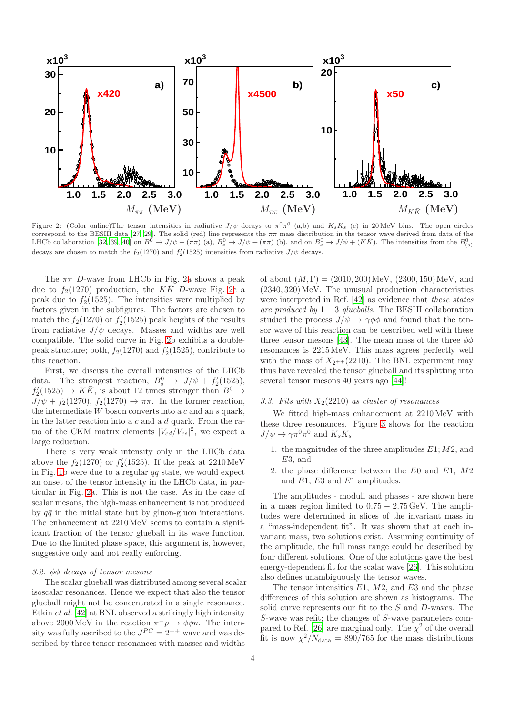<span id="page-3-0"></span>

Figure 2: (Color online)The tensor intensities in radiative  $J/\psi$  decays to  $\pi^0 \pi^0$  (a,b) and  $K_s K_s$  (c) in 20 MeV bins. The open circles correspond to the BESIII data [\[27,](#page-6-14) [29](#page-6-16)]. The solid (red) line represents the  $\pi\pi$  mass distribution in the tensor wave derived from data of the LHCb collaboration [\[32](#page-6-20), [39,](#page-6-26) [40\]](#page-6-27) on  $B^0 \to J/\psi + (\pi\pi)$  (a),  $B^0_s \to J/\psi + (\pi\pi)$  ( decays are chosen to match the  $f_2(1270)$  and  $f'_2(1525)$  intensities from radiative  $J/\psi$  decays.

The  $\pi\pi$  D-wave from LHCb in Fig. [2a](#page-3-0) shows a peak due to  $f_2(1270)$  production, the K $\overline{K}$  D-wave Fig. [2c](#page-3-0) a peak due to  $f_2'(1525)$ . The intensities were multiplied by factors given in the subfigures. The factors are chosen to match the  $f_2(1270)$  or  $f_2'(1525)$  peak heights of the results from radiative  $J/\psi$  decays. Masses and widths are well compatible. The solid curve in Fig. [2b](#page-3-0) exhibits a doublepeak structure; both,  $f_2(1270)$  and  $f'_2(1525)$ , contribute to this reaction.

First, we discuss the overall intensities of the LHCb data. The strongest reaction,  $B_s^0 \rightarrow J/\psi + f'_2(1525)$ ,  $f'_2(1525) \rightarrow K\overline{K}$ , is about 12 times stronger than  $B^0 \rightarrow$  $J/\psi + f_2(1270), f_2(1270) \rightarrow \pi\pi$ . In the former reaction, the intermediate  $W$  boson converts into a  $c$  and an  $s$  quark, in the latter reaction into a  $c$  and a  $d$  quark. From the ratio of the CKM matrix elements  $|V_{cd}/V_{cs}|^2$ , we expect a large reduction.

There is very weak intensity only in the LHCb data above the  $f_2(1270)$  or  $f'_2(1525)$ . If the peak at 2210 MeV in Fig. [1b](#page-1-1) were due to a regular  $q\bar{q}$  state, we would expect an onset of the tensor intensity in the LHCb data, in particular in Fig. [2a](#page-3-0). This is not the case. As in the case of scalar mesons, the high-mass enhancement is not produced by  $q\bar{q}$  in the initial state but by gluon-gluon interactions. The enhancement at 2210MeV seems to contain a significant fraction of the tensor glueball in its wave function. Due to the limited phase space, this argument is, however, suggestive only and not really enforcing.

#### *3.2.* φφ *decays of tensor mesons*

The scalar glueball was distributed among several scalar isoscalar resonances. Hence we expect that also the tensor glueball might not be concentrated in a single resonance. Etkin *et al.* [\[42](#page-6-29)] at BNL observed a strikingly high intensity above 2000 MeV in the reaction  $\pi^- p \to \phi \phi n$ . The intensity was fully ascribed to the  $J^{PC} = 2^{++}$  wave and was described by three tensor resonances with masses and widths

of about  $(M, \Gamma) = (2010, 200)$  MeV,  $(2300, 150)$  MeV, and  $(2340, 320)$  MeV. The unusual production characteristics were interpreted in Ref. [\[42\]](#page-6-29) as evidence that *these states are produced by* 1 − 3 *glueballs*. The BESIII collaboration studied the process  $J/\psi \rightarrow \gamma \phi \phi$  and found that the tensor wave of this reaction can be described well with these three tensor mesons [\[43\]](#page-6-30). The mean mass of the three  $\phi\phi$ resonances is 2215MeV. This mass agrees perfectly well with the mass of  $X_{2^{++}}(2210)$ . The BNL experiment may thus have revealed the tensor glueball and its splitting into several tensor mesons 40 years ago [\[44\]](#page-6-31)!

### 3.3. Fits with  $X_2(2210)$  *as cluster of resonances*

We fitted high-mass enhancement at 2210MeV with these three resonances. Figure [3](#page-4-0) shows for the reaction  $J/\psi \to \gamma \pi^0 \pi^0$  and  $K_s K_s$ 

- 1. the magnitudes of the three amplitudes  $E1; M2$ , and E3, and
- 2. the phase difference between the E0 and E1, M2 and E1, E3 and E1 amplitudes.

The amplitudes - moduli and phases - are shown here in a mass region limited to  $0.75 - 2.75 \,\text{GeV}$ . The amplitudes were determined in slices of the invariant mass in a "mass-independent fit". It was shown that at each invariant mass, two solutions exist. Assuming continuity of the amplitude, the full mass range could be described by four different solutions. One of the solutions gave the best energy-dependent fit for the scalar wave [\[26\]](#page-6-13). This solution also defines unambiguously the tensor waves.

The tensor intensities  $E1$ ,  $M2$ , and  $E3$  and the phase differences of this solution are shown as histograms. The solid curve represents our fit to the S and D-waves. The S-wave was refit; the changes of S-wave parameters com-pared to Ref. [\[26](#page-6-13)] are marginal only. The  $\chi^2$  of the overall fit is now  $\chi^2/N_{\text{data}} = 890/765$  for the mass distributions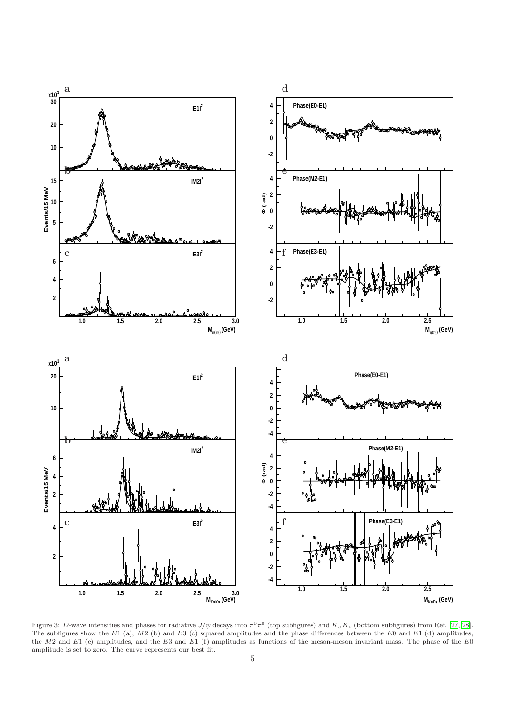<span id="page-4-0"></span>

Figure 3: D-wave intensities and phases for radiative  $J/\psi$  decays into  $\pi^0 \pi^0$  (top subfigures) and  $K_s K_s$  (bottom subfigures) from Ref. [\[27,](#page-6-14) [28\]](#page-6-15). The subfigures show the E1 (a),  $M2$  (b) and E3 (c) squared amplitudes and the phase differences between the E0 and E1 (d) amplitudes, the M2 and E1 (e) amplitudes, and the E3 and E1 (f) amplitudes as functions of the meson-meson invariant mass. The phase of the E0 amplitude is set to zero. The curve represents our best fit.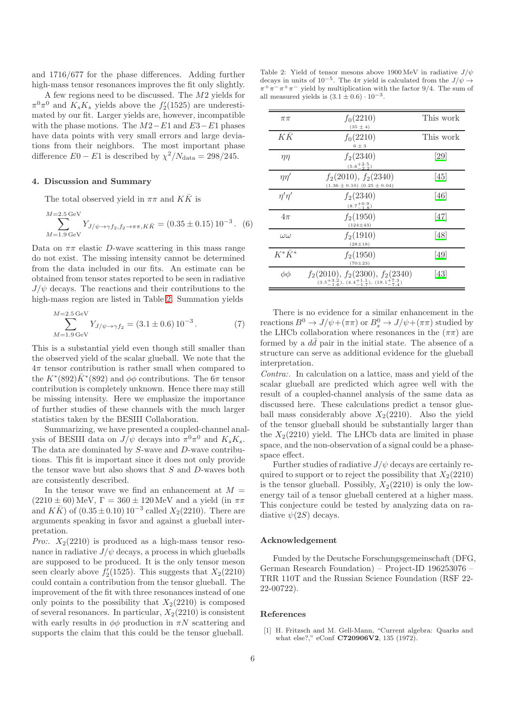and 1716/677 for the phase differences. Adding further high-mass tensor resonances improves the fit only slightly.

A few regions need to be discussed. The M2 yields for  $\pi^0 \pi^0$  and  $\tilde{K_s} K_s$  yields above the  $f'_2(1525)$  are underestimated by our fit. Larger yields are, however, incompatible with the phase motions. The  $M2-E1$  and  $E3-E1$  phases have data points with very small errors and large deviations from their neighbors. The most important phase difference  $E0 - E1$  is described by  $\chi^2/N_{\text{data}} = 298/245$ .

### <span id="page-5-1"></span>4. Discussion and Summary

The total observed yield in  $\pi\pi$  and  $K\bar{K}$  is

$$
\sum_{M=1.9 \text{ GeV}}^{M=2.5 \text{ GeV}} Y_{J/\psi \to \gamma f_2, f_2 \to \pi \pi, K\bar{K}} = (0.35 \pm 0.15) 10^{-3}. (6)
$$

Data on  $\pi\pi$  elastic D-wave scattering in this mass range do not exist. The missing intensity cannot be determined from the data included in our fits. An estimate can be obtained from tensor states reported to be seen in radiative  $J/\psi$  decays. The reactions and their contributions to the high-mass region are listed in Table [2.](#page-5-2) Summation yields

$$
\sum_{M=1.9\,\text{GeV}}^{M=2.5\,\text{GeV}} Y_{J/\psi \to \gamma f_2} = (3.1 \pm 0.6) \, 10^{-3} \,. \tag{7}
$$

This is a substantial yield even though still smaller than the observed yield of the scalar glueball. We note that the  $4\pi$  tensor contribution is rather small when compared to the  $K^*(892)\bar{K}^*(892)$  and  $\phi\phi$  contributions. The  $6\pi$  tensor contribution is completely unknown. Hence there may still be missing intensity. Here we emphasize the importance of further studies of these channels with the much larger statistics taken by the BESIII Collaboration.

Summarizing, we have presented a coupled-channel analysis of BESIII data on  $J/\psi$  decays into  $\pi^0 \pi^0$  and  $K_s K_s$ . The data are dominated by S-wave and D-wave contributions. This fit is important since it does not only provide the tensor wave but also shows that  $S$  and  $D$ -waves both are consistently described.

In the tensor wave we find an enhancement at  $M =$  $(2210 \pm 60)$  MeV,  $\Gamma = 360 \pm 120$  MeV and a yield (in  $\pi\pi$ ) and  $K\bar{K}$  of  $(0.35 \pm 0.10) 10^{-3}$  called  $X_2(2210)$ . There are arguments speaking in favor and against a glueball interpretation.

*Pro:.*  $X_2(2210)$  is produced as a high-mass tensor resonance in radiative  $J/\psi$  decays, a process in which glueballs are supposed to be produced. It is the only tensor meson seen clearly above  $f'_2(1525)$ . This suggests that  $X_2(2210)$ could contain a contribution from the tensor glueball. The improvement of the fit with three resonances instead of one only points to the possibility that  $X_2(2210)$  is composed of several resonances. In particular,  $X_2(2210)$  is consistent with early results in  $\phi\phi$  production in  $\pi N$  scattering and supports the claim that this could be the tensor glueball.

<span id="page-5-2"></span>Table 2: Yield of tensor mesons above 1900 MeV in radiative  $J/\psi$ decays in units of 10<sup>-5</sup>. The  $4\pi$  yield is calculated from the  $J/\psi \rightarrow$  $\pi^{+}\pi^{-}\pi^{+}\pi^{-}$  yield by multiplication with the factor 9/4. The sum of all measured yields is  $(3.1 \pm 0.6) \cdot 10^{-3}$ .

| $\pi\pi$       | $f_0(2210)$<br>$(35 \pm 4)$                                                                                    | This work                  |
|----------------|----------------------------------------------------------------------------------------------------------------|----------------------------|
| KK             | $f_0(2210)$<br>$6\pm3$                                                                                         | This work                  |
| $\eta\eta$     | $f_2(2340)$<br>$(5.6 + \frac{2.5}{2.2})$                                                                       | [29]                       |
| $\eta\eta'$    | $f_2(2010), f_2(2340)$<br>$(1.36 \pm 0.10)$ $(0.25 \pm 0.04)$                                                  | [45]                       |
| $\eta'\eta'$   | $f_2(2340)$<br>$(8.7^{+0.9}_{-1.8})$                                                                           | [46]                       |
| $4\pi$         | $f_2(1950)$<br>$(124 \pm 43)$                                                                                  | 47                         |
| $\omega\omega$ | $f_2(1910)$<br>$(28 \pm 18)$                                                                                   | [48]                       |
| $K^*\bar{K}^*$ | $f_2(1950)$<br>$(70 \pm 23)$                                                                                   | 49                         |
| φφ             | $f_2(2010), f_2(2300), f_2(2340)$<br>$(3.5\frac{+3.2}{-1.6}), (4.4\frac{+1.1}{-1.7}), (19.1\frac{+7.3}{-7.4})$ | $\left\vert 43\right\vert$ |

There is no evidence for a similar enhancement in the reactions  $B^0 \to J/\psi + (\pi \pi)$  or  $B^0_s \to J/\psi + (\pi \pi)$  studied by the LHCb collaboration where resonances in the  $(\pi \pi)$  are formed by a  $d\bar{d}$  pair in the initial state. The absence of a structure can serve as additional evidence for the glueball interpretation.

*Contra:.* In calculation on a lattice, mass and yield of the scalar glueball are predicted which agree well with the result of a coupled-channel analysis of the same data as discussed here. These calculations predict a tensor glueball mass considerably above  $X_2(2210)$ . Also the yield of the tensor glueball should be substantially larger than the  $X_2(2210)$  yield. The LHCb data are limited in phase space, and the non-observation of a signal could be a phasespace effect.

Further studies of radiative  $J/\psi$  decays are certainly required to support or to reject the possibility that  $X_2(2210)$ is the tensor glueball. Possibly,  $X_2(2210)$  is only the lowenergy tail of a tensor glueball centered at a higher mass. This conjecture could be tested by analyzing data on radiative  $\psi(2S)$  decays.

#### Acknowledgement

Funded by the Deutsche Forschungsgemeinschaft (DFG, German Research Foundation) – Project-ID 196253076 – TRR 110T and the Russian Science Foundation (RSF 22- 22-00722).

#### References

<span id="page-5-0"></span>[1] H. Fritzsch and M. Gell-Mann, "Current algebra: Quarks and what else?," eConf **C720906V2**, 135 (1972).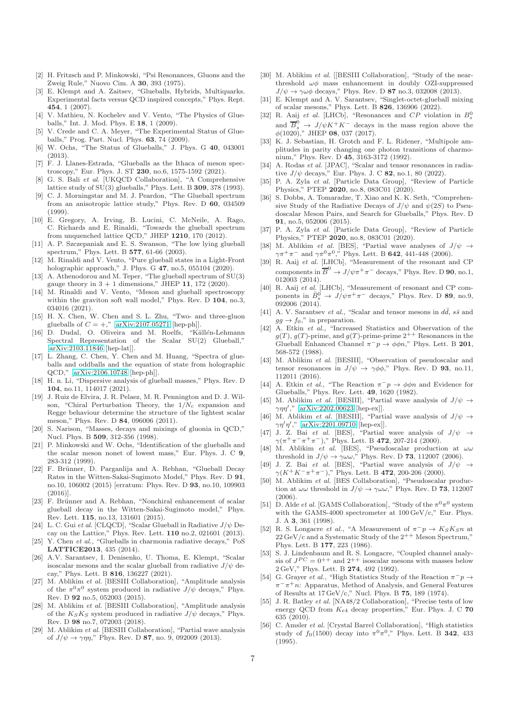- <span id="page-6-0"></span>[2] H. Fritzsch and P. Minkowski, "Psi Resonances, Gluons and the Zweig Rule," Nuovo Cim. A 30, 393 (1975).
- <span id="page-6-1"></span>[3] E. Klempt and A. Zaitsev, "Glueballs, Hybrids, Multiquarks. Experimental facts versus QCD inspired concepts," Phys. Rept. 454, 1 (2007).
- [4] V. Mathieu, N. Kochelev and V. Vento, "The Physics of Glueballs," Int. J. Mod. Phys. E 18, 1 (2009).
- [5] V. Crede and C. A. Meyer, "The Experimental Status of Glueballs," Prog. Part. Nucl. Phys. 63, 74 (2009).
- W. Ochs. "The Status of Glueballs," J. Phys. G 40, 043001  $(2013)$
- <span id="page-6-2"></span>[7] F. J. Llanes-Estrada, "Glueballs as the Ithaca of meson spectroscopy," Eur. Phys. J. ST 230, no.6, 1575-1592 (2021).
- <span id="page-6-3"></span>[8] G. S. Bali et al. [UKQCD Collaboration], "A Comprehensive lattice study of SU(3) glueballs," Phys. Lett. B 309, 378 (1993).
- C. J. Morningstar and M. J. Peardon, "The Glueball spectrum from an anisotropic lattice study," Phys. Rev. D 60, 034509 (1999).
- <span id="page-6-18"></span>[10] E. Gregory, A. Irving, B. Lucini, C. McNeile, A. Rago, C. Richards and E. Rinaldi, "Towards the glueball spectrum from unquenched lattice QCD," JHEP 1210, 170 (2012).
- [11] A. P. Szczepaniak and E. S. Swanson, "The low lying glueball spectrum," Phys. Lett. B 577, 61-66 (2003).
- [12] M. Rinaldi and V. Vento, "Pure glueball states in a Light-Front holographic approach," J. Phys. G 47, no.5, 055104 (2020).
- [13] A. Athenodorou and M. Teper, "The glueball spectrum of  $SU(3)$ gauge theory in  $3 + 1$  dimensions," JHEP 11, 172 (2020).
- [14] M. Rinaldi and V. Vento, "Meson and glueball spectroscopy within the graviton soft wall model," Phys. Rev. D 104, no.3, 034016 (2021).
- <span id="page-6-5"></span>[15] H. X. Chen, W. Chen and S. L. Zhu, "Two- and three-gluon glueballs of  $C = +$ ," [\[arXiv:2107.05271](http://arxiv.org/abs/2107.05271) [hep-ph]].
- [16] D. Dudal, O. Oliveira and M. Roelfs, "Källén-Lehmann Spectral Representation of the Scalar SU(2) Glueball," [\[arXiv:2103.11846](http://arxiv.org/abs/2103.11846) [hep-lat]].
- [17] L. Zhang, C. Chen, Y. Chen and M. Huang, "Spectra of glueballs and oddballs and the equation of state from holographic QCD," [\[arXiv:2106.10748](http://arxiv.org/abs/2106.10748) [hep-ph]].
- <span id="page-6-4"></span>[18] H. n. Li, "Dispersive analysis of glueball masses," Phys. Rev. D 104, no.11, 114017 (2021).
- <span id="page-6-8"></span>[19] J. Ruiz de Elvira, J. R. Pelaez, M. R. Pennington and D. J. Wilson, "Chiral Perturbation Theory, the  $1/N_c$  expansion and Regge behaviour determine the structure of the lightest scalar meson," Phys. Rev. D 84, 096006 (2011).
- <span id="page-6-9"></span>[20] S. Narison, "Masses, decays and mixings of gluonia in QCD," Nucl. Phys. B 509, 312-356 (1998).
- <span id="page-6-10"></span>[21] P. Minkowski and W. Ochs, "Identification of the glueballs and the scalar meson nonet of lowest mass," Eur. Phys. J. C 9, 283-312 (1999).
- <span id="page-6-11"></span>[22] F. Brünner, D. Parganlija and A. Rebhan, "Glueball Decay Rates in the Witten-Sakai-Sugimoto Model," Phys. Rev. D 91, no.10, 106002 (2015) [erratum: Phys. Rev. D 93, no.10, 109903 (2016)].
- <span id="page-6-12"></span>[23] F. Brünner and A. Rebhan, "Nonchiral enhancement of scalar glueball decay in the Witten-Sakai-Sugimoto model," Phys. Rev. Lett. 115, no.13, 131601 (2015).
- <span id="page-6-6"></span>[24] L. C. Gui et al. [CLQCD], "Scalar Glueball in Radiative  $J/\psi$  Decay on the Lattice," Phys. Rev. Lett. 110 no.2, 021601 (2013).
- <span id="page-6-7"></span>[25] Y. Chen et al., "Glueballs in charmonia radiative decays," PoS LATTICE2013, 435 (2014).
- <span id="page-6-13"></span>[26] A.V. Sarantsev, I. Denisenko, U. Thoma, E. Klempt, "Scalar isoscalar mesons and the scalar glueball from radiative  $J/\psi$  decay," Phys. Lett. B 816, 136227 (2021).
- <span id="page-6-14"></span>[27] M. Ablikim et al. [BESIII Collaboration], "Amplitude analysis of the  $\pi^0 \pi^0$  system produced in radiative  $J/\psi$  decays," Phys. Rev. D 92 no.5, 052003 (2015).
- <span id="page-6-15"></span>[28] M. Ablikim et al. [BESIII Collaboration], "Amplitude analysis of the  $K_S K_S$  system produced in radiative  $J/\psi$  decays," Phys. Rev. D 98 no.7, 072003 (2018).
- <span id="page-6-16"></span>[29] M. Ablikim et al. [BESIII Collaboration], "Partial wave analysis of  $J/\psi \to \gamma \eta \eta$ ," Phys. Rev. D **87**, no. 9, 092009 (2013).
- <span id="page-6-17"></span>[30] M. Ablikim et al. [[BESIII Collaboration], "Study of the nearthreshold  $\omega\phi$  mass enhancement in doubly OZI-suppressed  $J/\psi \rightarrow \gamma \omega \phi$  decays," Phys. Rev. D 87 no.3, 032008 (2013).
- <span id="page-6-19"></span>[31] E. Klempt and A. V. Sarantsev, "Singlet-octet-glueball mixing of scalar mesons," Phys. Lett. B 826, 136906 (2022).
- <span id="page-6-20"></span>[32] R. Aaij et al. [LHCb], "Resonances and  $CP$  violation in  $B_s^0$ and  $\overline{B}_s^0$  $\rightarrow J/\psi K^+ K^-$  decays in the mass region above the  $\phi(1020)$ ," JHEP 08, 037 (2017).
- <span id="page-6-21"></span>[33] K. J. Sebastian, H. Grotch and F. L. Ridener, "Multipole amplitudes in parity changing one photon transitions of charmonium," Phys. Rev. D 45, 3163-3172 (1992).
- <span id="page-6-22"></span>[34] A. Rodas et al. [JPAC], "Scalar and tensor resonances in radiative  $J/\psi$  decays," Eur. Phys. J. C 82, no.1, 80 (2022).
- [35] P. A. Zyla et al. [Particle Data Group], "Review of Particle Physics," PTEP 2020, no.8, 083C01 (2020).
- <span id="page-6-25"></span>[36] S. Dobbs, A. Tomaradze, T. Xiao and K. K. Seth, "Comprehensive Study of the Radiative Decays of  $J/\psi$  and  $\psi(2S)$  to Pseudoscalar Meson Pairs, and Search for Glueballs," Phys. Rev. D 91, no.5, 052006 (2015).
- <span id="page-6-23"></span>[37] P. A. Zyla et al. [Particle Data Group], "Review of Particle Physics," PTEP 2020, no.8, 083C01 (2020).
- <span id="page-6-24"></span>[38] M. Ablikim *et al.* [BES], "Partial wave analyses of  $J/\psi \rightarrow$  $\gamma \pi^+ \pi^-$  and  $\gamma \pi^0 \pi^0$ ," Phys. Lett. B 642, 441-448 (2006).
- <span id="page-6-26"></span>[39] R. Aaij et al. [LHCb], "Measurement of the resonant and CP components in  $\overline{B}^0 \to J/\psi \pi^+ \pi^-$  decays," Phys. Rev. D 90, no.1, 012003 (2014).
- <span id="page-6-27"></span>[40] R. Aaij et al. [LHCb], "Measurement of resonant and CP components in  $\bar{B}_s^0 \to J/\psi \pi^+ \pi^-$  decays," Phys. Rev. D 89, no.9, 092006 (2014).
- <span id="page-6-28"></span>[41] A. V. Sarantsev et al., "Scalar and tensor mesons in  $d\bar{d}$ ,  $s\bar{s}$  and  $gg \to f_0$ ," in preparation.
- <span id="page-6-29"></span>[42] A. Etkin et al., "Increased Statistics and Observation of the  $g(T), g(T)$ -prime, and  $g(T)$ -prime-prime  $2^{++}$  Resonances in the Glueball Enhanced Channel  $\pi^-p \to \phi \phi n$ ," Phys. Lett. B 201, 568-572 (1988).
- <span id="page-6-30"></span>[43] M. Ablikim et al. [BESIII], "Observation of pseudoscalar and tensor resonances in  $J/\psi \rightarrow \gamma \phi \phi$ ," Phys. Rev. D 93, no.11, 112011 (2016).
- <span id="page-6-31"></span>[44] A. Etkin *et al.*, "The Reaction  $\pi^- p \to \phi \phi n$  and Evidence for Glueballs," Phys. Rev. Lett. 49, 1620 (1982).
- <span id="page-6-32"></span>[45] M. Ablikim et al. [BESIII], "Partial wave analysis of  $J/\psi \rightarrow$  $\gamma \eta \eta'$ ," [\[arXiv:2202.00623](http://arxiv.org/abs/2202.00623) [hep-ex]].
- <span id="page-6-33"></span>[46] M. Ablikim *et al.* [BESIII], "Partial wave analysis of  $J/\psi \rightarrow$  $\gamma\eta'\eta'$ ," [\[arXiv:2201.09710](http://arxiv.org/abs/2201.09710) [hep-ex]].
- <span id="page-6-34"></span>[47] J. Z. Bai et al. [BES], "Partial wave analysis of  $J/\psi \rightarrow$  $\gamma(\pi^+\pi^-\pi^+\pi^-),$ " Phys. Lett. B 472, 207-214 (2000).
- <span id="page-6-35"></span>[48] M. Ablikim *et al.* [BES], "Pseudoscalar production at  $\omega \omega$  threshold in  $J/\psi \rightarrow \gamma \omega \omega$ ," Phys. Rev. D **73**, 112007 (2006).
- <span id="page-6-36"></span>[49] J. Z. Bai et al. [BES], "Partial wave analysis of  $J/\psi \rightarrow$  $\gamma(K^+K^-\pi^+\pi^-)$ ," Phys. Lett. B 472, 200-206 (2000).
- [50] M. Ablikim et al. [BES Collaboration], "Pseudoscalar production at  $\omega \omega$  threshold in  $J/\psi \rightarrow \gamma \omega \omega$ ," Phys. Rev. D **73**, 112007 (2006).
- [51] D. Alde *et al.* [GAMS Collaboration], "Study of the  $\pi^{0}\pi^{0}$  system with the GAMS-4000 spectrometer at 100 GeV/c," Eur. Phys. J. A 3, 361 (1998).
- [52] R. S. Longacre *et al.*, "A Measurement of  $\pi^- p \to K_S K_S n$  at  $22 \text{ GeV/c}$  and a Systematic Study of the  $2^{++}$  Meson Spectrum," Phys. Lett. B 177, 223 (1986).
- [53] S. J. Lindenbaum and R. S. Longacre, "Coupled channel analysis of  $J^{PC} = 0^{++}$  and  $2^{++}$  isoscalar mesons with masses below 2 GeV," Phys. Lett. B 274, 492 (1992).
- [54] G. Grayer *et al.*, "High Statistics Study of the Reaction  $\pi^- p \to$  $\pi^{-}\pi^{+}n$ : Apparatus, Method of Analysis, and General Features of Results at 17 GeV/c," Nucl. Phys. B 75, 189 (1974).
- [55] J. R. Batley *et al.* [NA48/2 Collaboration], "Precise tests of low energy QCD from  $K_{e4}$  decay properties," Eur. Phys. J. C 70 635 (2010).
- [56] C. Amsler et al. [Crystal Barrel Collaboration], "High statistics study of  $f_0(1500)$  decay into  $\pi^0\pi^0$ ," Phys. Lett. B **342**, 433 (1995).